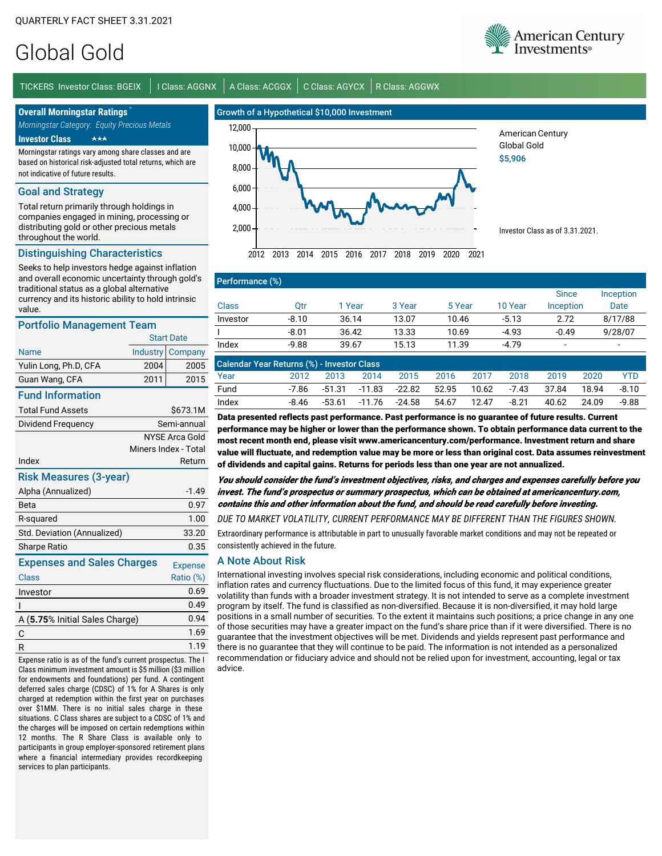# Global Gold

TICKERS Investor Class: BGEIX | I Class: AGGNX | A Class: ACGGX | C Class: AGYCX | R Class: AGGWX

**Overall Morningstar Ratings** *Morningstar Category: Equity Precious Metals*

**Investor Class** -

Morningstar ratings vary among share classes and are based on historical risk-adjusted total returns, which are not indicative of future results.

#### Goal and Strategy

Total return primarily through holdings in companies engaged in mining, processing or distributing gold or other precious metals throughout the world.

### Distinguishing Characteristics

Seeks to help investors hedge against inflation and overall economic uncertainty through gold's traditional status as a global alternative currency and its historic ability to hold intrinsic value.

#### Portfolio Management Team

| Portfollo Management Team            |          |                       |  |  |  |  |
|--------------------------------------|----------|-----------------------|--|--|--|--|
|                                      |          | <b>Start Date</b>     |  |  |  |  |
| <b>Name</b>                          | Industry | Company               |  |  |  |  |
| Yulin Long, Ph.D, CFA                | 2004     | 2005                  |  |  |  |  |
| Guan Wang, CFA                       | 2011     | 2015                  |  |  |  |  |
| <b>Fund Information</b>              |          |                       |  |  |  |  |
| <b>Total Fund Assets</b>             |          | \$673.1M              |  |  |  |  |
| Dividend Frequency                   |          | Semi-annual           |  |  |  |  |
|                                      |          | <b>NYSE Arca Gold</b> |  |  |  |  |
|                                      |          | Miners Index - Total  |  |  |  |  |
| Index                                |          | Return                |  |  |  |  |
| <b>Risk Measures (3-year)</b>        |          |                       |  |  |  |  |
| Alpha (Annualized)                   |          | $-1.49$               |  |  |  |  |
| Beta                                 |          | 0.97                  |  |  |  |  |
| R-squared                            |          | 1.00                  |  |  |  |  |
| Std. Deviation (Annualized)<br>33.20 |          |                       |  |  |  |  |
| Sharpe Ratio                         |          | 0.35                  |  |  |  |  |
| <b>Expenses and Sales Charges</b>    |          | <b>Expense</b>        |  |  |  |  |
| Class                                |          | Ratio (%)             |  |  |  |  |
| Investor                             |          | 0.69                  |  |  |  |  |
| ı                                    |          | 0.49                  |  |  |  |  |
| A (5.75% Initial Sales Charge)       |          | 0.94                  |  |  |  |  |
| C                                    |          | 1.69                  |  |  |  |  |
| R                                    |          | 1.19                  |  |  |  |  |
|                                      |          |                       |  |  |  |  |

Expense ratio is as of the fund's current prospectus. The I Class minimum investment amount is \$5 million (\$3 million for endowments and foundations) per fund. A contingent deferred sales charge (CDSC) of 1% for A Shares is only charged at redemption within the first year on purchases over \$1MM. There is no initial sales charge in these situations. C Class shares are subject to a CDSC of 1% and the charges will be imposed on certain redemptions within 12 months. The R Share Class is available only to participants in group employer-sponsored retirement plans where a financial intermediary provides recordkeeping services to plan participants.





2012 2013 2014 2015 2016 2017 2018 2019 2020 2021

Global Gold \$5,906

American Century

Investor Class as of 3.31.2021.

|          | Performance (%) |        |        |        |         |              |                          |  |
|----------|-----------------|--------|--------|--------|---------|--------------|--------------------------|--|
|          |                 |        |        |        |         | <b>Since</b> | Inception                |  |
| Class    | Otr             | 1 Year | 3 Year | 5 Year | 10 Year | Inception    | Date                     |  |
| Investor | $-8.10$         | 36.14  | 13.07  | 10.46  | $-5.13$ | 2.72         | 8/17/88                  |  |
|          | $-8.01$         | 36.42  | 13.33  | 10.69  | $-4.93$ | $-0.49$      | 9/28/07                  |  |
| Index    | $-9.88$         | 39.67  | 15.13  | 11.39  | $-4.79$ |              | $\overline{\phantom{0}}$ |  |

| <b>Calendar Year Returns (%) - Investor Class</b> |       |        |      |                      |              |       |         |       |       |         |
|---------------------------------------------------|-------|--------|------|----------------------|--------------|-------|---------|-------|-------|---------|
| Year                                              | 2012  | 2013   | 2014 | 2015                 | 2016         | 2017  | 2018    | 2019  | 2020  | YTD     |
| Fund                                              | -7.86 |        |      | -51.31 -11.83 -22.82 | 52.95  10.62 |       | -7.43   | 37.84 | 18.94 | $-8.10$ |
| Index                                             | -8.46 | -53.61 |      | -11.76 -24.58        | 54.67        | 12.47 | $-8.21$ | 40.62 | 24.09 | -9.88   |

Data presented reflects past performance. Past performance is no guarantee of future results. Current performance may be higher or lower than the performance shown. To obtain performance data current to the most recent month end, please visit www.americancentury.com/performance. Investment return and share value will fluctuate, and redemption value may be more or less than original cost. Data assumes reinvestment of dividends and capital gains. Returns for periods less than one year are not annualized.

You should consider the fund's investment objectives, risks, and charges and expenses carefully before you invest. The fund's prospectus or summary prospectus, which can be obtained at americancentury.com, contains this and other information about the fund, and should be read carefully before investing.

*DUE TO MARKET VOLATILITY, CURRENT PERFORMANCE MAY BE DIFFERENT THAN THE FIGURES SHOWN.*

Extraordinary performance is attributable in part to unusually favorable market conditions and may not be repeated or consistently achieved in the future.

#### A Note About Risk

International investing involves special risk considerations, including economic and political conditions, inflation rates and currency fluctuations. Due to the limited focus of this fund, it may experience greater volatility than funds with a broader investment strategy. It is not intended to serve as a complete investment program by itself. The fund is classified as non-diversified. Because it is non-diversified, it may hold large positions in a small number of securities. To the extent it maintains such positions; a price change in any one of those securities may have a greater impact on the fund's share price than if it were diversified. There is no guarantee that the investment objectives will be met. Dividends and yields represent past performance and there is no guarantee that they will continue to be paid. The information is not intended as a personalized recommendation or fiduciary advice and should not be relied upon for investment, accounting, legal or tax advice.